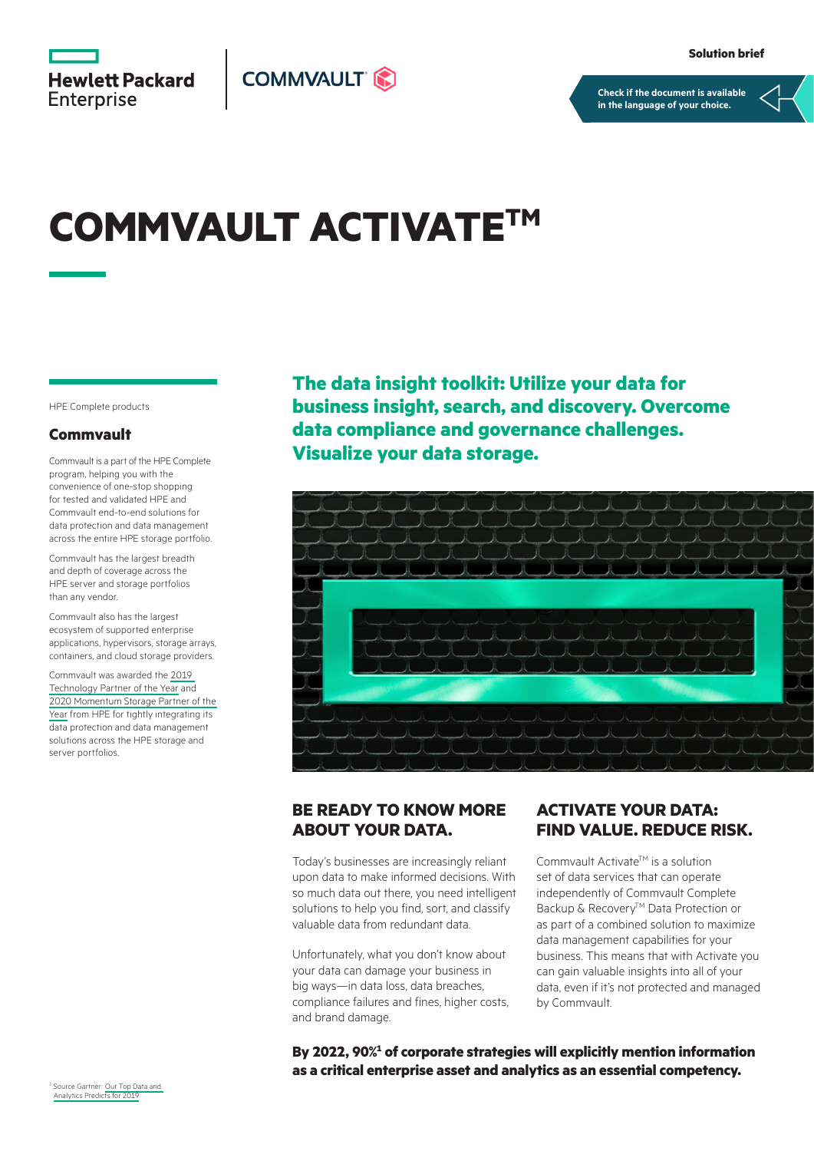**Hewlett Packard** Enterprise



**[Check if the document is available](https://psnow.ext.hpe.com/collection-resources/a50001650ENW)  in the language of your choice.**

# **COMMVAULT ACTIVATETM**

HPE Complete products

#### **Commvault**

Commvault is a part of the HPE Complete program, helping you with the convenience of one-stop shopping for tested and validated HPE and Commvault end-to-end solutions for data protection and data management across the entire HPE storage portfolio.

Commvault has the largest breadth and depth of coverage across the HPE server and storage portfolios than any vendor.

Commvault also has the largest ecosystem of supported enterprise applications, hypervisors, storage arrays, containers, and cloud storage providers.

Commvault was awarded the [2019](https://www.youtube.com/watch?v=awtsMK69NBM)  [Technology Partner of the Year](https://www.youtube.com/watch?v=awtsMK69NBM) and [2020 Momentum Storage Partner of the](https://www.commvault.com/news/commvault-named-2020-hpe-momentum-storage-partner-of-the-year)  [Year](https://www.commvault.com/news/commvault-named-2020-hpe-momentum-storage-partner-of-the-year) from HPE for tightly integrating its data protection and data management solutions across the HPE storage and server portfolios.

**The data insight toolkit: Utilize your data for business insight, search, and discovery. Overcome data compliance and governance challenges. Visualize your data storage.**



#### **BE READY TO KNOW MORE ABOUT YOUR DATA.**

Today's businesses are increasingly reliant upon data to make informed decisions. With so much data out there, you need intelligent solutions to help you find, sort, and classify valuable data from redundant data.

Unfortunately, what you don't know about your data can damage your business in big ways—in data loss, data breaches, compliance failures and fines, higher costs, and brand damage.

### **ACTIVATE YOUR DATA: FIND VALUE. REDUCE RISK.**

Commvault Activate™ is a solution set of data services that can operate independently of Commvault Complete Backup & Recovery™ Data Protection or as part of a combined solution to maximize data management capabilities for your business. This means that with Activate you can gain valuable insights into all of your data, even if it's not protected and managed by Commvault.

By 2022, 90%<sup>1</sup> of corporate strategies will explicitly mention information **as a critical enterprise asset and analytics as an essential competency.**